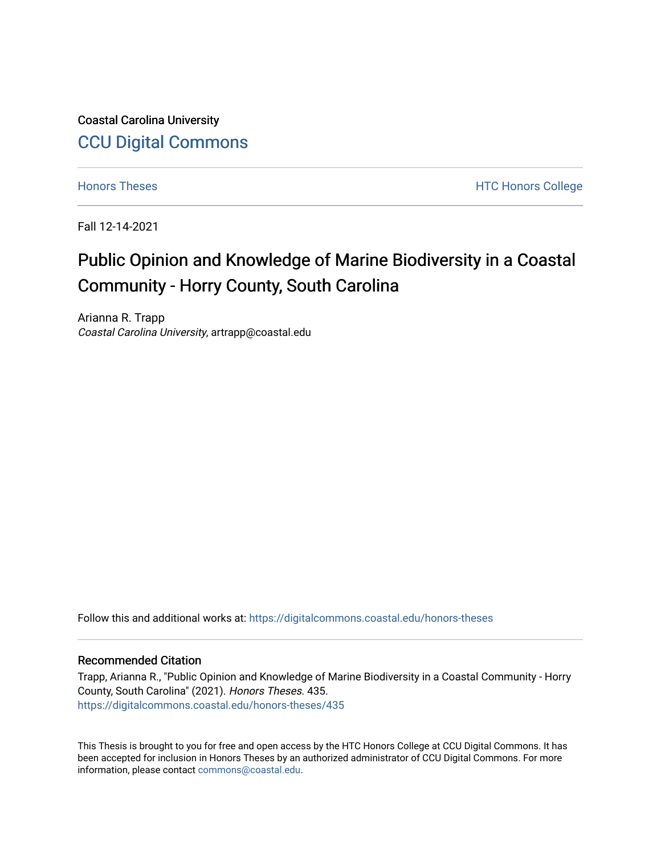Coastal Carolina University [CCU Digital Commons](https://digitalcommons.coastal.edu/) 

[Honors Theses](https://digitalcommons.coastal.edu/honors-theses) **Honors** College HTC Honors College

Fall 12-14-2021

# Public Opinion and Knowledge of Marine Biodiversity in a Coastal Community - Horry County, South Carolina

Arianna R. Trapp Coastal Carolina University, artrapp@coastal.edu

Follow this and additional works at: [https://digitalcommons.coastal.edu/honors-theses](https://digitalcommons.coastal.edu/honors-theses?utm_source=digitalcommons.coastal.edu%2Fhonors-theses%2F435&utm_medium=PDF&utm_campaign=PDFCoverPages)

### Recommended Citation

Trapp, Arianna R., "Public Opinion and Knowledge of Marine Biodiversity in a Coastal Community - Horry County, South Carolina" (2021). Honors Theses. 435. [https://digitalcommons.coastal.edu/honors-theses/435](https://digitalcommons.coastal.edu/honors-theses/435?utm_source=digitalcommons.coastal.edu%2Fhonors-theses%2F435&utm_medium=PDF&utm_campaign=PDFCoverPages)

This Thesis is brought to you for free and open access by the HTC Honors College at CCU Digital Commons. It has been accepted for inclusion in Honors Theses by an authorized administrator of CCU Digital Commons. For more information, please contact [commons@coastal.edu.](mailto:commons@coastal.edu)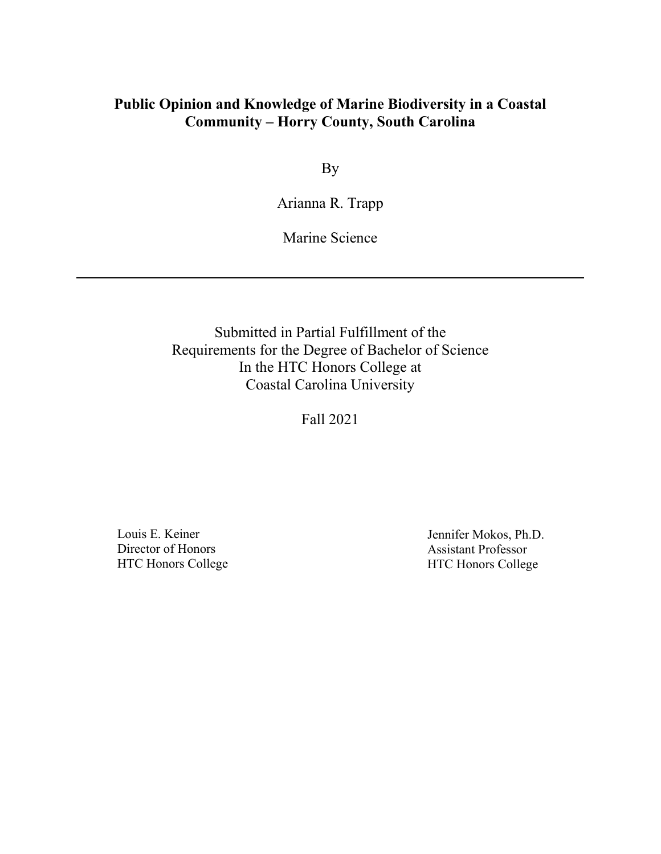# **Public Opinion and Knowledge of Marine Biodiversity in a Coastal Community – Horry County, South Carolina**

By

Arianna R. Trapp

Marine Science

Submitted in Partial Fulfillment of the Requirements for the Degree of Bachelor of Science In the HTC Honors College at Coastal Carolina University

Fall 2021

Louis E. Keiner Director of Honors HTC Honors College

Jennifer Mokos, Ph.D. Assistant Professor HTC Honors College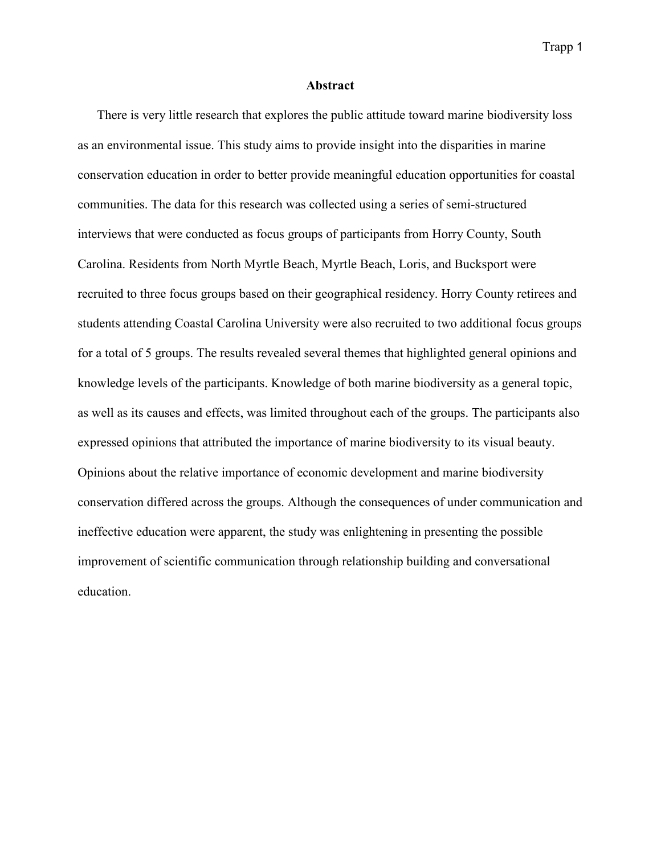### **Abstract**

There is very little research that explores the public attitude toward marine biodiversity loss as an environmental issue. This study aims to provide insight into the disparities in marine conservation education in order to better provide meaningful education opportunities for coastal communities. The data for this research was collected using a series of semi-structured interviews that were conducted as focus groups of participants from Horry County, South Carolina. Residents from North Myrtle Beach, Myrtle Beach, Loris, and Bucksport were recruited to three focus groups based on their geographical residency. Horry County retirees and students attending Coastal Carolina University were also recruited to two additional focus groups for a total of 5 groups. The results revealed several themes that highlighted general opinions and knowledge levels of the participants. Knowledge of both marine biodiversity as a general topic, as well as its causes and effects, was limited throughout each of the groups. The participants also expressed opinions that attributed the importance of marine biodiversity to its visual beauty. Opinions about the relative importance of economic development and marine biodiversity conservation differed across the groups. Although the consequences of under communication and ineffective education were apparent, the study was enlightening in presenting the possible improvement of scientific communication through relationship building and conversational education.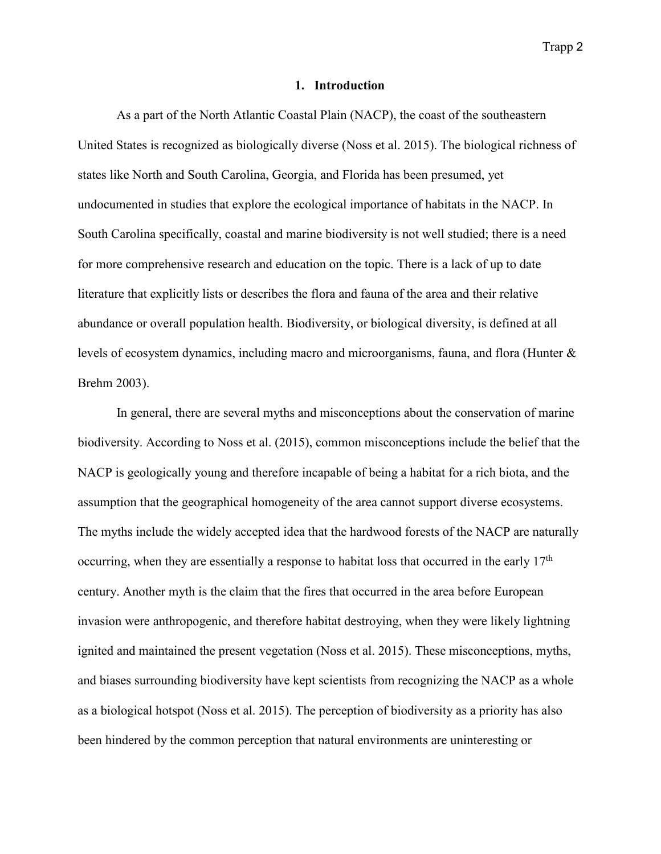#### **1. Introduction**

As a part of the North Atlantic Coastal Plain (NACP), the coast of the southeastern United States is recognized as biologically diverse (Noss et al. 2015). The biological richness of states like North and South Carolina, Georgia, and Florida has been presumed, yet undocumented in studies that explore the ecological importance of habitats in the NACP. In South Carolina specifically, coastal and marine biodiversity is not well studied; there is a need for more comprehensive research and education on the topic. There is a lack of up to date literature that explicitly lists or describes the flora and fauna of the area and their relative abundance or overall population health. Biodiversity, or biological diversity, is defined at all levels of ecosystem dynamics, including macro and microorganisms, fauna, and flora (Hunter & Brehm 2003).

In general, there are several myths and misconceptions about the conservation of marine biodiversity. According to Noss et al. (2015), common misconceptions include the belief that the NACP is geologically young and therefore incapable of being a habitat for a rich biota, and the assumption that the geographical homogeneity of the area cannot support diverse ecosystems. The myths include the widely accepted idea that the hardwood forests of the NACP are naturally occurring, when they are essentially a response to habitat loss that occurred in the early 17<sup>th</sup> century. Another myth is the claim that the fires that occurred in the area before European invasion were anthropogenic, and therefore habitat destroying, when they were likely lightning ignited and maintained the present vegetation (Noss et al. 2015). These misconceptions, myths, and biases surrounding biodiversity have kept scientists from recognizing the NACP as a whole as a biological hotspot (Noss et al. 2015). The perception of biodiversity as a priority has also been hindered by the common perception that natural environments are uninteresting or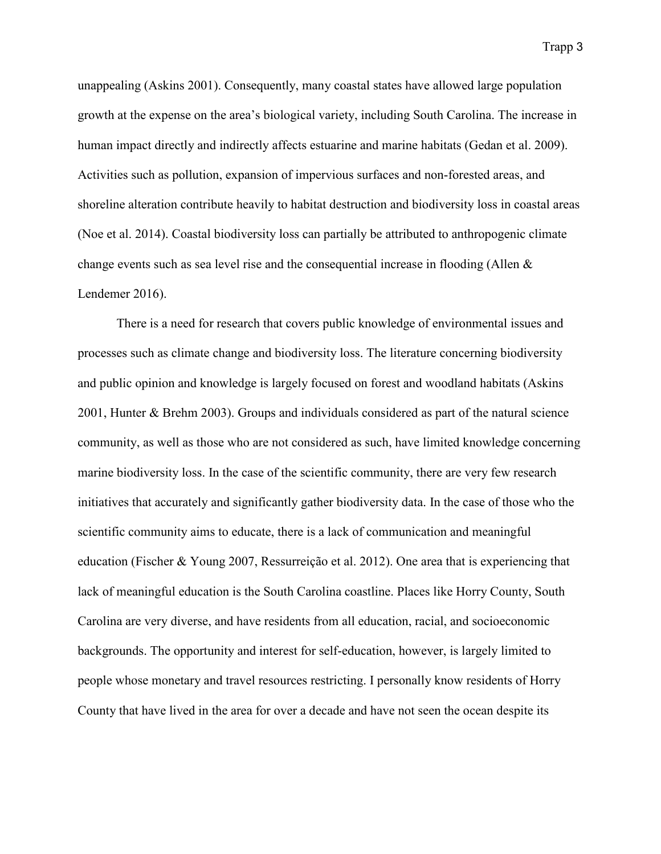unappealing (Askins 2001). Consequently, many coastal states have allowed large population growth at the expense on the area's biological variety, including South Carolina. The increase in human impact directly and indirectly affects estuarine and marine habitats (Gedan et al. 2009). Activities such as pollution, expansion of impervious surfaces and non-forested areas, and shoreline alteration contribute heavily to habitat destruction and biodiversity loss in coastal areas (Noe et al. 2014). Coastal biodiversity loss can partially be attributed to anthropogenic climate change events such as sea level rise and the consequential increase in flooding (Allen  $\&$ Lendemer 2016).

There is a need for research that covers public knowledge of environmental issues and processes such as climate change and biodiversity loss. The literature concerning biodiversity and public opinion and knowledge is largely focused on forest and woodland habitats (Askins 2001, Hunter & Brehm 2003). Groups and individuals considered as part of the natural science community, as well as those who are not considered as such, have limited knowledge concerning marine biodiversity loss. In the case of the scientific community, there are very few research initiatives that accurately and significantly gather biodiversity data. In the case of those who the scientific community aims to educate, there is a lack of communication and meaningful education (Fischer & Young 2007, Ressurreição et al. 2012). One area that is experiencing that lack of meaningful education is the South Carolina coastline. Places like Horry County, South Carolina are very diverse, and have residents from all education, racial, and socioeconomic backgrounds. The opportunity and interest for self-education, however, is largely limited to people whose monetary and travel resources restricting. I personally know residents of Horry County that have lived in the area for over a decade and have not seen the ocean despite its

Trapp 3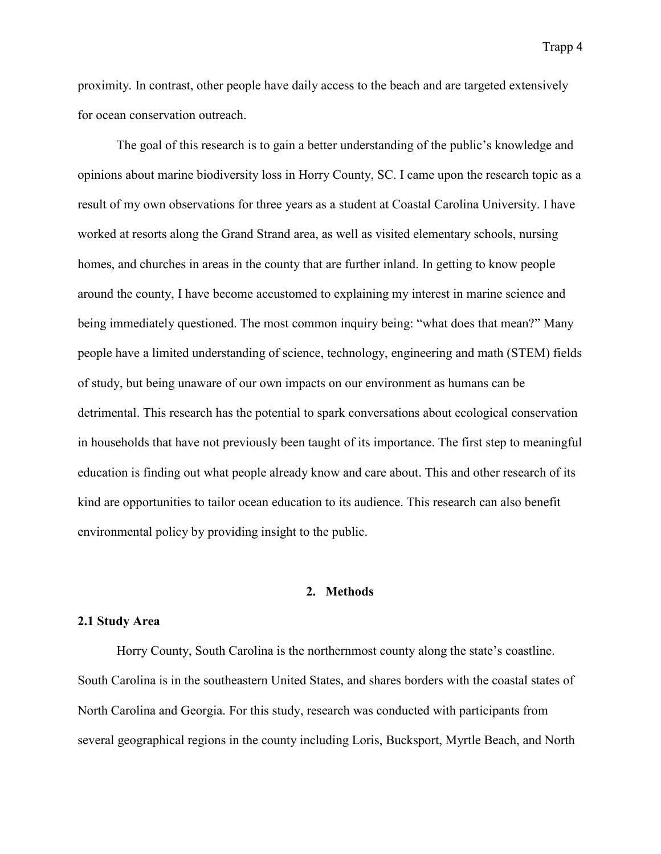proximity. In contrast, other people have daily access to the beach and are targeted extensively for ocean conservation outreach.

The goal of this research is to gain a better understanding of the public's knowledge and opinions about marine biodiversity loss in Horry County, SC. I came upon the research topic as a result of my own observations for three years as a student at Coastal Carolina University. I have worked at resorts along the Grand Strand area, as well as visited elementary schools, nursing homes, and churches in areas in the county that are further inland. In getting to know people around the county, I have become accustomed to explaining my interest in marine science and being immediately questioned. The most common inquiry being: "what does that mean?" Many people have a limited understanding of science, technology, engineering and math (STEM) fields of study, but being unaware of our own impacts on our environment as humans can be detrimental. This research has the potential to spark conversations about ecological conservation in households that have not previously been taught of its importance. The first step to meaningful education is finding out what people already know and care about. This and other research of its kind are opportunities to tailor ocean education to its audience. This research can also benefit environmental policy by providing insight to the public.

# **2. Methods**

#### **2.1 Study Area**

Horry County, South Carolina is the northernmost county along the state's coastline. South Carolina is in the southeastern United States, and shares borders with the coastal states of North Carolina and Georgia. For this study, research was conducted with participants from several geographical regions in the county including Loris, Bucksport, Myrtle Beach, and North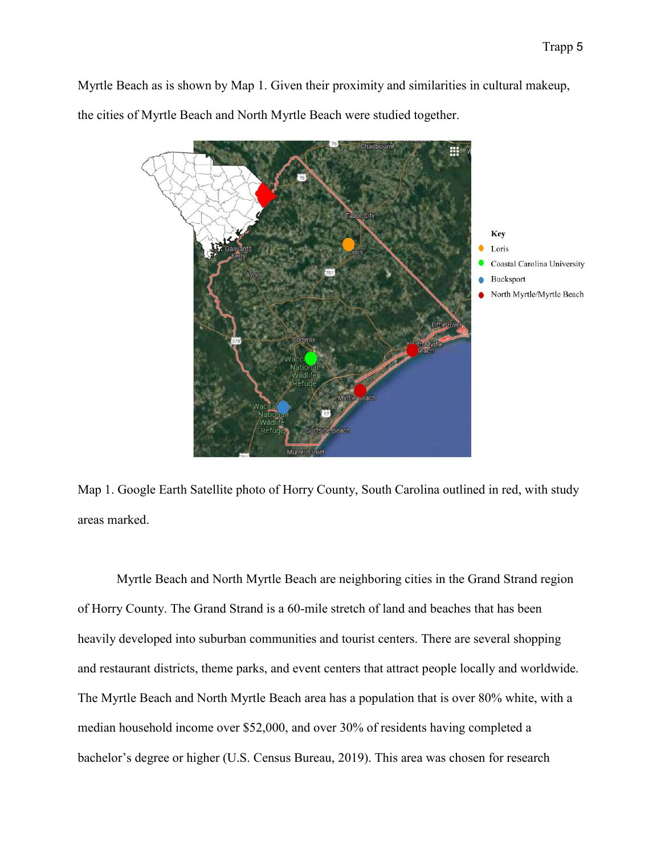Myrtle Beach as is shown by Map 1. Given their proximity and similarities in cultural makeup,

the cities of Myrtle Beach and North Myrtle Beach were studied together.



Map 1. Google Earth Satellite photo of Horry County, South Carolina outlined in red, with study areas marked.

Myrtle Beach and North Myrtle Beach are neighboring cities in the Grand Strand region of Horry County. The Grand Strand is a 60-mile stretch of land and beaches that has been heavily developed into suburban communities and tourist centers. There are several shopping and restaurant districts, theme parks, and event centers that attract people locally and worldwide. The Myrtle Beach and North Myrtle Beach area has a population that is over 80% white, with a median household income over \$52,000, and over 30% of residents having completed a bachelor's degree or higher (U.S. Census Bureau, 2019). This area was chosen for research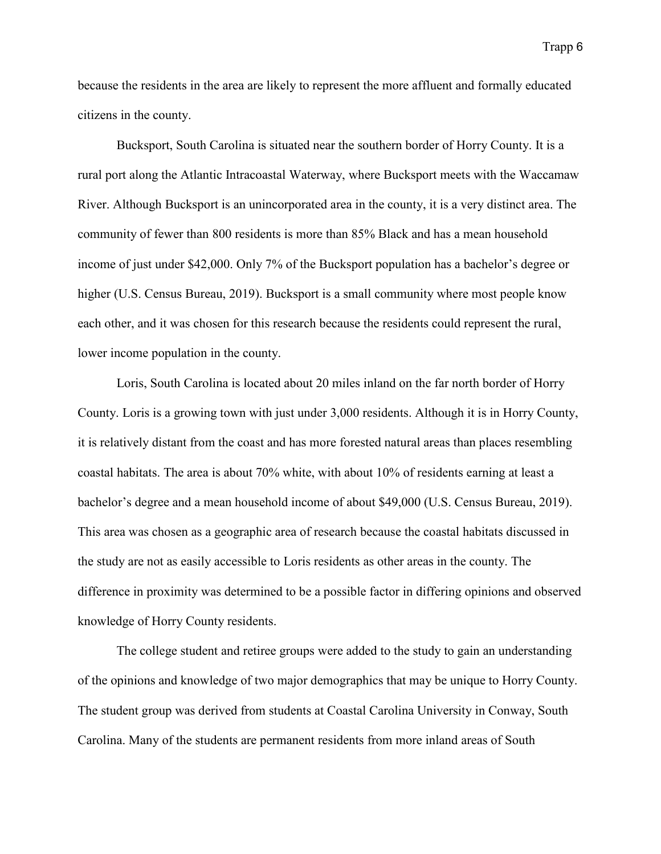because the residents in the area are likely to represent the more affluent and formally educated citizens in the county.

Bucksport, South Carolina is situated near the southern border of Horry County. It is a rural port along the Atlantic Intracoastal Waterway, where Bucksport meets with the Waccamaw River. Although Bucksport is an unincorporated area in the county, it is a very distinct area. The community of fewer than 800 residents is more than 85% Black and has a mean household income of just under \$42,000. Only 7% of the Bucksport population has a bachelor's degree or higher (U.S. Census Bureau, 2019). Bucksport is a small community where most people know each other, and it was chosen for this research because the residents could represent the rural, lower income population in the county.

Loris, South Carolina is located about 20 miles inland on the far north border of Horry County. Loris is a growing town with just under 3,000 residents. Although it is in Horry County, it is relatively distant from the coast and has more forested natural areas than places resembling coastal habitats. The area is about 70% white, with about 10% of residents earning at least a bachelor's degree and a mean household income of about \$49,000 (U.S. Census Bureau, 2019). This area was chosen as a geographic area of research because the coastal habitats discussed in the study are not as easily accessible to Loris residents as other areas in the county. The difference in proximity was determined to be a possible factor in differing opinions and observed knowledge of Horry County residents.

The college student and retiree groups were added to the study to gain an understanding of the opinions and knowledge of two major demographics that may be unique to Horry County. The student group was derived from students at Coastal Carolina University in Conway, South Carolina. Many of the students are permanent residents from more inland areas of South

Trapp 6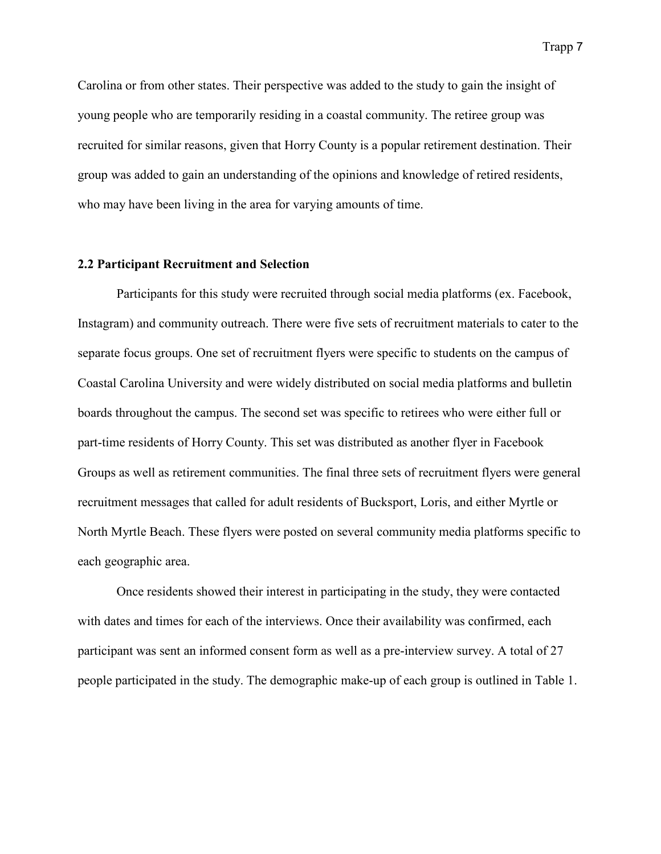Carolina or from other states. Their perspective was added to the study to gain the insight of young people who are temporarily residing in a coastal community. The retiree group was recruited for similar reasons, given that Horry County is a popular retirement destination. Their group was added to gain an understanding of the opinions and knowledge of retired residents, who may have been living in the area for varying amounts of time.

### **2.2 Participant Recruitment and Selection**

Participants for this study were recruited through social media platforms (ex. Facebook, Instagram) and community outreach. There were five sets of recruitment materials to cater to the separate focus groups. One set of recruitment flyers were specific to students on the campus of Coastal Carolina University and were widely distributed on social media platforms and bulletin boards throughout the campus. The second set was specific to retirees who were either full or part-time residents of Horry County. This set was distributed as another flyer in Facebook Groups as well as retirement communities. The final three sets of recruitment flyers were general recruitment messages that called for adult residents of Bucksport, Loris, and either Myrtle or North Myrtle Beach. These flyers were posted on several community media platforms specific to each geographic area.

Once residents showed their interest in participating in the study, they were contacted with dates and times for each of the interviews. Once their availability was confirmed, each participant was sent an informed consent form as well as a pre-interview survey. A total of 27 people participated in the study. The demographic make-up of each group is outlined in Table 1.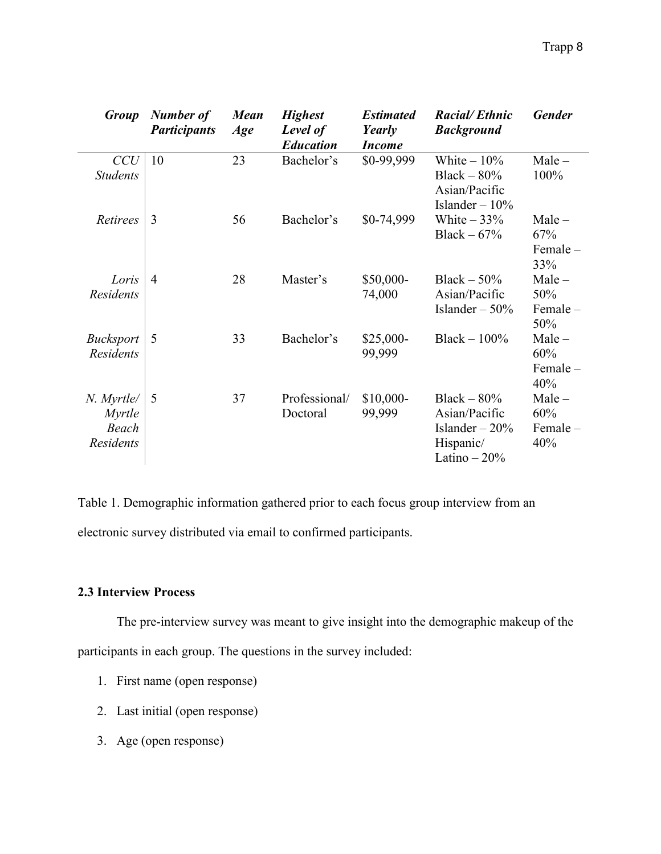| <b>Group</b>                                             | Number of<br><b>Participants</b> | <b>Mean</b><br>Age | <b>Highest</b><br>Level of<br><b>Education</b> | <b>Estimated</b><br>Yearly<br><i>Income</i> | <b>Racial/Ethnic</b><br><b>Background</b>                                      | <b>Gender</b>                        |
|----------------------------------------------------------|----------------------------------|--------------------|------------------------------------------------|---------------------------------------------|--------------------------------------------------------------------------------|--------------------------------------|
| CCU<br><b>Students</b>                                   | 10                               | 23                 | Bachelor's                                     | \$0-99,999                                  | White $-10\%$<br>Black $-80\%$<br>Asian/Pacific<br>Islander $-10\%$            | $Male -$<br>100%                     |
| Retirees                                                 | 3                                | 56                 | Bachelor's                                     | \$0-74,999                                  | White $-33%$<br>Black $-67%$                                                   | $Male -$<br>67%<br>$Female -$<br>33% |
| Loris<br>Residents                                       | $\overline{4}$                   | 28                 | Master's                                       | \$50,000-<br>74,000                         | Black $-50\%$<br>Asian/Pacific<br>Islander $-50%$                              | $Male -$<br>50%<br>$Female -$<br>50% |
| <b>Bucksport</b><br><b>Residents</b>                     | 5                                | 33                 | Bachelor's                                     | $$25,000-$<br>99,999                        | Black $-100\%$                                                                 | $Male -$<br>60%<br>Female-<br>40%    |
| N. Myrtle/<br><i>Myrtle</i><br>Beach<br><b>Residents</b> | 5                                | 37                 | Professional/<br>Doctoral                      | $$10,000-$<br>99,999                        | Black $-80%$<br>Asian/Pacific<br>Islander $-20%$<br>Hispanic/<br>Latino $-20%$ | $Male -$<br>60%<br>$Female -$<br>40% |

Table 1. Demographic information gathered prior to each focus group interview from an electronic survey distributed via email to confirmed participants.

# **2.3 Interview Process**

The pre-interview survey was meant to give insight into the demographic makeup of the participants in each group. The questions in the survey included:

- 1. First name (open response)
- 2. Last initial (open response)
- 3. Age (open response)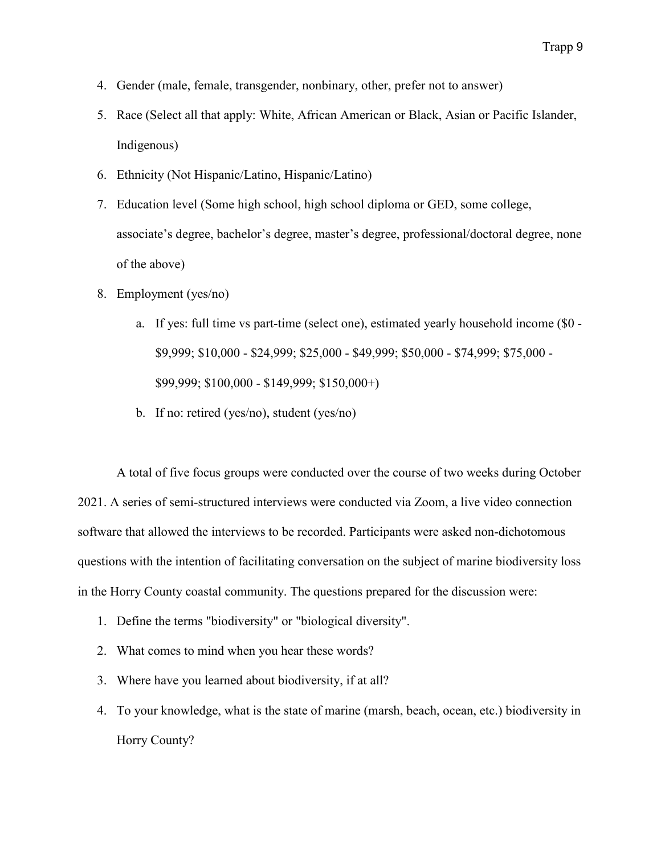- 4. Gender (male, female, transgender, nonbinary, other, prefer not to answer)
- 5. Race (Select all that apply: White, African American or Black, Asian or Pacific Islander, Indigenous)
- 6. Ethnicity (Not Hispanic/Latino, Hispanic/Latino)
- 7. Education level (Some high school, high school diploma or GED, some college, associate's degree, bachelor's degree, master's degree, professional/doctoral degree, none of the above)
- 8. Employment (yes/no)
	- a. If yes: full time vs part-time (select one), estimated yearly household income (\$0 \$9,999; \$10,000 - \$24,999; \$25,000 - \$49,999; \$50,000 - \$74,999; \$75,000 - \$99,999; \$100,000 - \$149,999; \$150,000+)
	- b. If no: retired (yes/no), student (yes/no)

A total of five focus groups were conducted over the course of two weeks during October 2021. A series of semi-structured interviews were conducted via Zoom, a live video connection software that allowed the interviews to be recorded. Participants were asked non-dichotomous questions with the intention of facilitating conversation on the subject of marine biodiversity loss in the Horry County coastal community. The questions prepared for the discussion were:

- 1. Define the terms "biodiversity" or "biological diversity".
- 2. What comes to mind when you hear these words?
- 3. Where have you learned about biodiversity, if at all?
- 4. To your knowledge, what is the state of marine (marsh, beach, ocean, etc.) biodiversity in Horry County?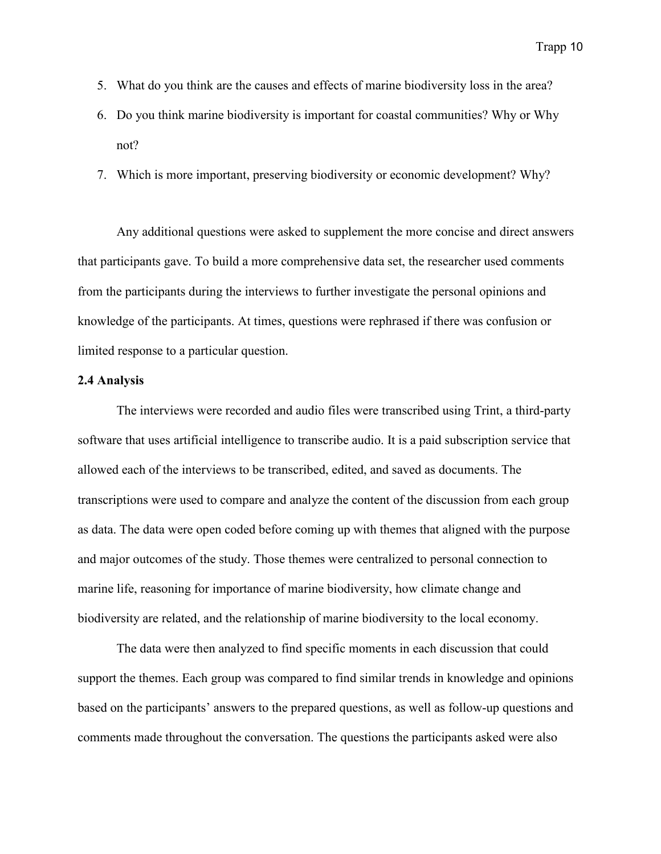- 5. What do you think are the causes and effects of marine biodiversity loss in the area?
- 6. Do you think marine biodiversity is important for coastal communities? Why or Why not?
- 7. Which is more important, preserving biodiversity or economic development? Why?

Any additional questions were asked to supplement the more concise and direct answers that participants gave. To build a more comprehensive data set, the researcher used comments from the participants during the interviews to further investigate the personal opinions and knowledge of the participants. At times, questions were rephrased if there was confusion or limited response to a particular question.

# **2.4 Analysis**

The interviews were recorded and audio files were transcribed using Trint, a third-party software that uses artificial intelligence to transcribe audio. It is a paid subscription service that allowed each of the interviews to be transcribed, edited, and saved as documents. The transcriptions were used to compare and analyze the content of the discussion from each group as data. The data were open coded before coming up with themes that aligned with the purpose and major outcomes of the study. Those themes were centralized to personal connection to marine life, reasoning for importance of marine biodiversity, how climate change and biodiversity are related, and the relationship of marine biodiversity to the local economy.

The data were then analyzed to find specific moments in each discussion that could support the themes. Each group was compared to find similar trends in knowledge and opinions based on the participants' answers to the prepared questions, as well as follow-up questions and comments made throughout the conversation. The questions the participants asked were also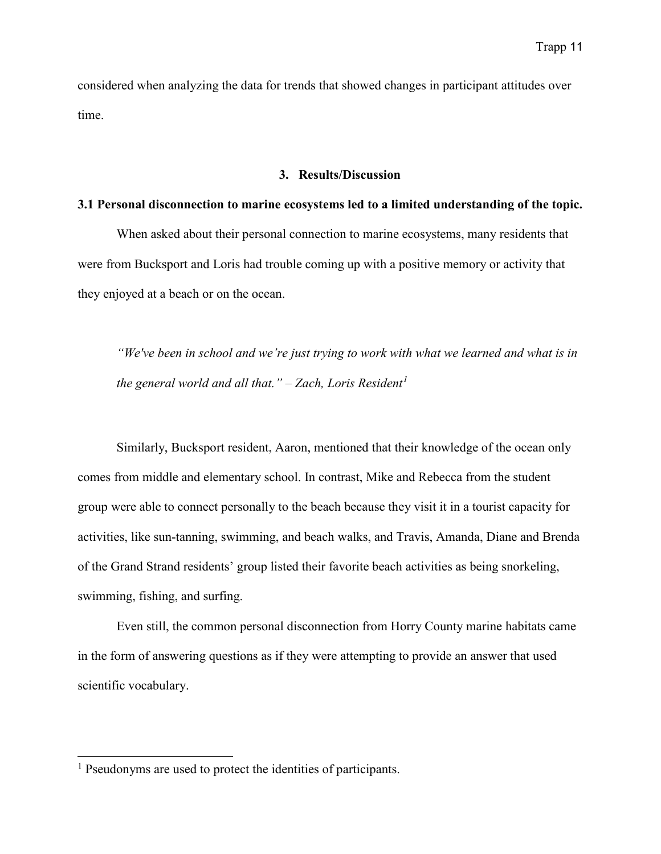considered when analyzing the data for trends that showed changes in participant attitudes over time.

#### **3. Results/Discussion**

## **3.1 Personal disconnection to marine ecosystems led to a limited understanding of the topic.**

When asked about their personal connection to marine ecosystems, many residents that were from Bucksport and Loris had trouble coming up with a positive memory or activity that they enjoyed at a beach or on the ocean.

*"We've been in school and we're just trying to work with what we learned and what is in the general world and all that." – Zach, Loris Resident[1](#page-12-0)*

Similarly, Bucksport resident, Aaron, mentioned that their knowledge of the ocean only comes from middle and elementary school. In contrast, Mike and Rebecca from the student group were able to connect personally to the beach because they visit it in a tourist capacity for activities, like sun-tanning, swimming, and beach walks, and Travis, Amanda, Diane and Brenda of the Grand Strand residents' group listed their favorite beach activities as being snorkeling, swimming, fishing, and surfing.

Even still, the common personal disconnection from Horry County marine habitats came in the form of answering questions as if they were attempting to provide an answer that used scientific vocabulary.

 $\ddot{\phantom{a}}$ 

<span id="page-12-0"></span><sup>&</sup>lt;sup>1</sup> Pseudonyms are used to protect the identities of participants.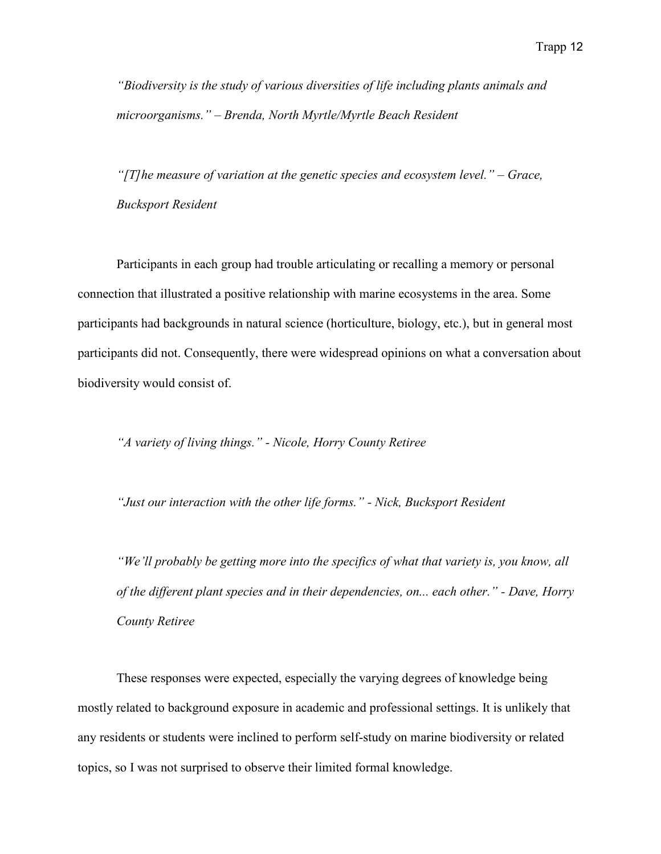*"Biodiversity is the study of various diversities of life including plants animals and microorganisms." – Brenda, North Myrtle/Myrtle Beach Resident*

*"[T]he measure of variation at the genetic species and ecosystem level." – Grace, Bucksport Resident*

Participants in each group had trouble articulating or recalling a memory or personal connection that illustrated a positive relationship with marine ecosystems in the area. Some participants had backgrounds in natural science (horticulture, biology, etc.), but in general most participants did not. Consequently, there were widespread opinions on what a conversation about biodiversity would consist of.

*"A variety of living things." - Nicole, Horry County Retiree*

*"Just our interaction with the other life forms." - Nick, Bucksport Resident*

*"We'll probably be getting more into the specifics of what that variety is, you know, all of the different plant species and in their dependencies, on... each other." - Dave, Horry County Retiree*

These responses were expected, especially the varying degrees of knowledge being mostly related to background exposure in academic and professional settings. It is unlikely that any residents or students were inclined to perform self-study on marine biodiversity or related topics, so I was not surprised to observe their limited formal knowledge.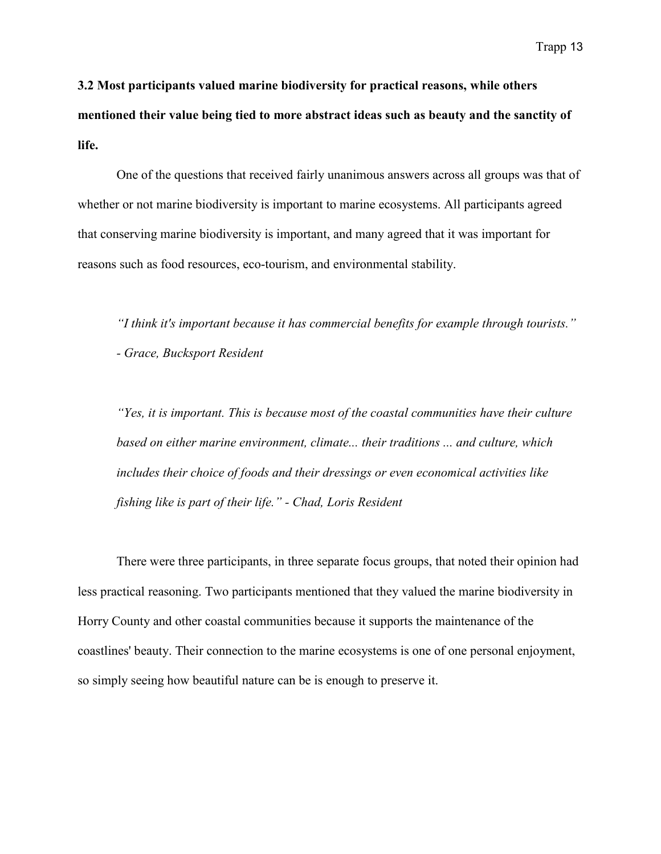**3.2 Most participants valued marine biodiversity for practical reasons, while others mentioned their value being tied to more abstract ideas such as beauty and the sanctity of life.**

One of the questions that received fairly unanimous answers across all groups was that of whether or not marine biodiversity is important to marine ecosystems. All participants agreed that conserving marine biodiversity is important, and many agreed that it was important for reasons such as food resources, eco-tourism, and environmental stability.

*"I think it's important because it has commercial benefits for example through tourists."*

*- Grace, Bucksport Resident*

*"Yes, it is important. This is because most of the coastal communities have their culture based on either marine environment, climate... their traditions ... and culture, which includes their choice of foods and their dressings or even economical activities like fishing like is part of their life." - Chad, Loris Resident* 

There were three participants, in three separate focus groups, that noted their opinion had less practical reasoning. Two participants mentioned that they valued the marine biodiversity in Horry County and other coastal communities because it supports the maintenance of the coastlines' beauty. Their connection to the marine ecosystems is one of one personal enjoyment, so simply seeing how beautiful nature can be is enough to preserve it.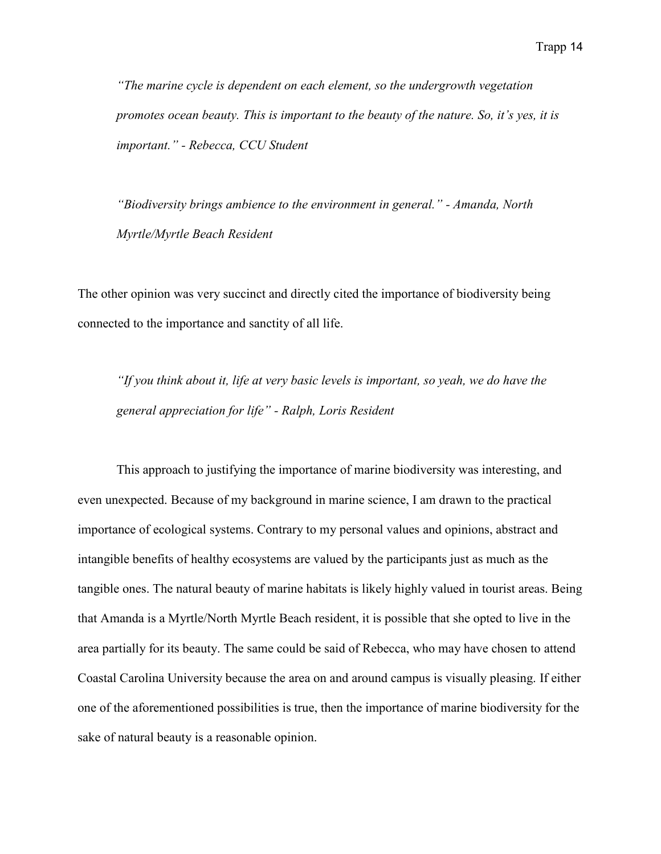*"The marine cycle is dependent on each element, so the undergrowth vegetation promotes ocean beauty. This is important to the beauty of the nature. So, it's yes, it is important." - Rebecca, CCU Student*

*"Biodiversity brings ambience to the environment in general." - Amanda, North Myrtle/Myrtle Beach Resident*

The other opinion was very succinct and directly cited the importance of biodiversity being connected to the importance and sanctity of all life.

*"If you think about it, life at very basic levels is important, so yeah, we do have the general appreciation for life" - Ralph, Loris Resident*

This approach to justifying the importance of marine biodiversity was interesting, and even unexpected. Because of my background in marine science, I am drawn to the practical importance of ecological systems. Contrary to my personal values and opinions, abstract and intangible benefits of healthy ecosystems are valued by the participants just as much as the tangible ones. The natural beauty of marine habitats is likely highly valued in tourist areas. Being that Amanda is a Myrtle/North Myrtle Beach resident, it is possible that she opted to live in the area partially for its beauty. The same could be said of Rebecca, who may have chosen to attend Coastal Carolina University because the area on and around campus is visually pleasing. If either one of the aforementioned possibilities is true, then the importance of marine biodiversity for the sake of natural beauty is a reasonable opinion.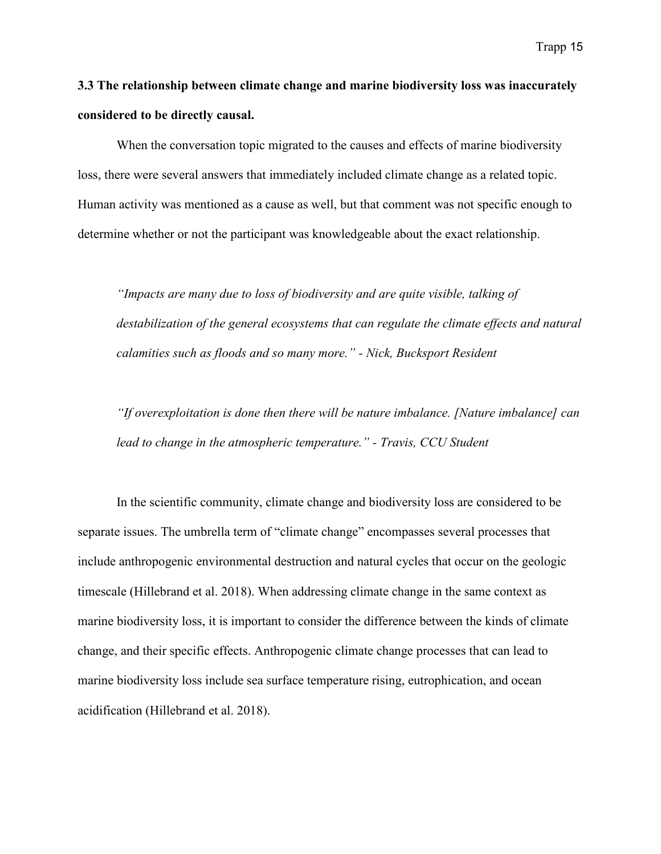**3.3 The relationship between climate change and marine biodiversity loss was inaccurately considered to be directly causal.**

When the conversation topic migrated to the causes and effects of marine biodiversity loss, there were several answers that immediately included climate change as a related topic. Human activity was mentioned as a cause as well, but that comment was not specific enough to determine whether or not the participant was knowledgeable about the exact relationship.

*"Impacts are many due to loss of biodiversity and are quite visible, talking of destabilization of the general ecosystems that can regulate the climate effects and natural calamities such as floods and so many more." - Nick, Bucksport Resident*

*"If overexploitation is done then there will be nature imbalance. [Nature imbalance] can lead to change in the atmospheric temperature." - Travis, CCU Student*

In the scientific community, climate change and biodiversity loss are considered to be separate issues. The umbrella term of "climate change" encompasses several processes that include anthropogenic environmental destruction and natural cycles that occur on the geologic timescale (Hillebrand et al. 2018). When addressing climate change in the same context as marine biodiversity loss, it is important to consider the difference between the kinds of climate change, and their specific effects. Anthropogenic climate change processes that can lead to marine biodiversity loss include sea surface temperature rising, eutrophication, and ocean acidification (Hillebrand et al. 2018).

Trapp 15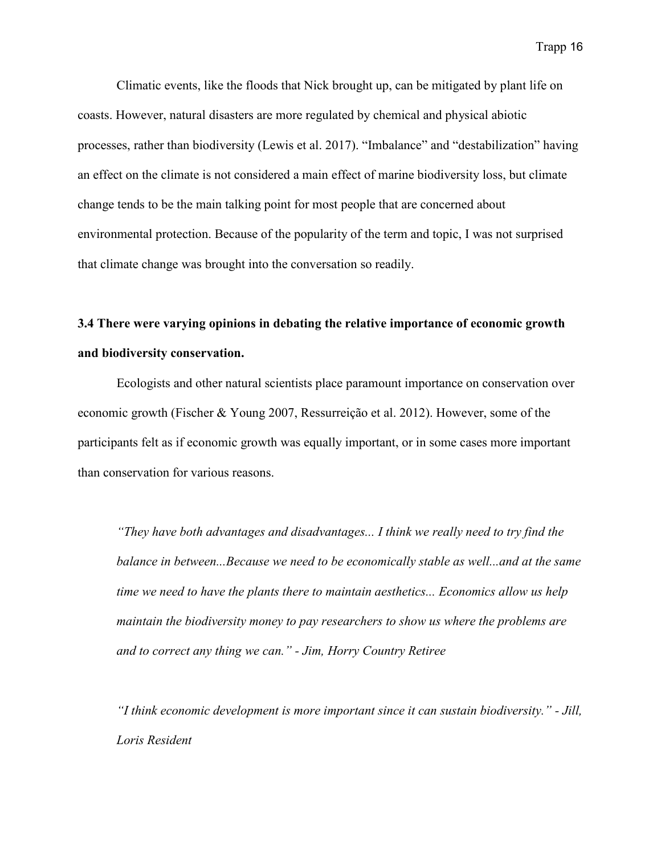Climatic events, like the floods that Nick brought up, can be mitigated by plant life on coasts. However, natural disasters are more regulated by chemical and physical abiotic processes, rather than biodiversity (Lewis et al. 2017). "Imbalance" and "destabilization" having an effect on the climate is not considered a main effect of marine biodiversity loss, but climate change tends to be the main talking point for most people that are concerned about environmental protection. Because of the popularity of the term and topic, I was not surprised that climate change was brought into the conversation so readily.

# **3.4 There were varying opinions in debating the relative importance of economic growth and biodiversity conservation.**

Ecologists and other natural scientists place paramount importance on conservation over economic growth (Fischer & Young 2007, Ressurreição et al. 2012). However, some of the participants felt as if economic growth was equally important, or in some cases more important than conservation for various reasons.

*"They have both advantages and disadvantages... I think we really need to try find the balance in between...Because we need to be economically stable as well...and at the same time we need to have the plants there to maintain aesthetics... Economics allow us help maintain the biodiversity money to pay researchers to show us where the problems are and to correct any thing we can." - Jim, Horry Country Retiree*

*"I think economic development is more important since it can sustain biodiversity." - Jill, Loris Resident*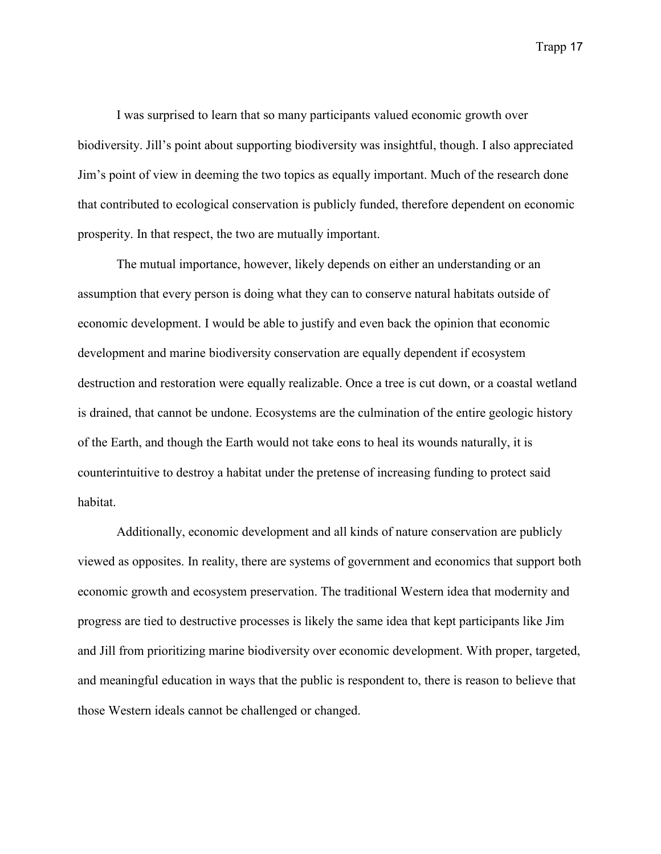I was surprised to learn that so many participants valued economic growth over biodiversity. Jill's point about supporting biodiversity was insightful, though. I also appreciated Jim's point of view in deeming the two topics as equally important. Much of the research done that contributed to ecological conservation is publicly funded, therefore dependent on economic prosperity. In that respect, the two are mutually important.

The mutual importance, however, likely depends on either an understanding or an assumption that every person is doing what they can to conserve natural habitats outside of economic development. I would be able to justify and even back the opinion that economic development and marine biodiversity conservation are equally dependent if ecosystem destruction and restoration were equally realizable. Once a tree is cut down, or a coastal wetland is drained, that cannot be undone. Ecosystems are the culmination of the entire geologic history of the Earth, and though the Earth would not take eons to heal its wounds naturally, it is counterintuitive to destroy a habitat under the pretense of increasing funding to protect said habitat.

Additionally, economic development and all kinds of nature conservation are publicly viewed as opposites. In reality, there are systems of government and economics that support both economic growth and ecosystem preservation. The traditional Western idea that modernity and progress are tied to destructive processes is likely the same idea that kept participants like Jim and Jill from prioritizing marine biodiversity over economic development. With proper, targeted, and meaningful education in ways that the public is respondent to, there is reason to believe that those Western ideals cannot be challenged or changed.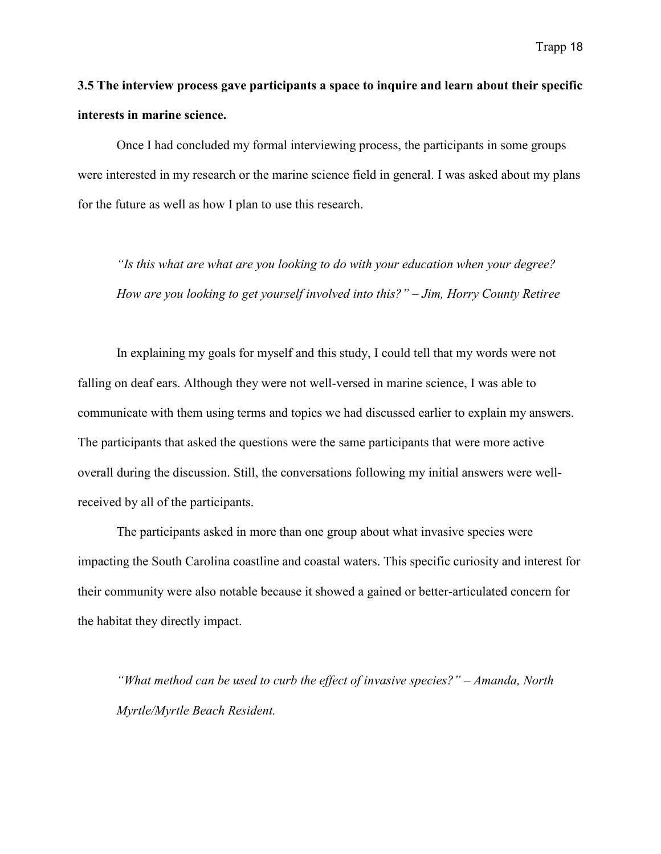# **3.5 The interview process gave participants a space to inquire and learn about their specific interests in marine science.**

Once I had concluded my formal interviewing process, the participants in some groups were interested in my research or the marine science field in general. I was asked about my plans for the future as well as how I plan to use this research.

*"Is this what are what are you looking to do with your education when your degree? How are you looking to get yourself involved into this?" – Jim, Horry County Retiree*

In explaining my goals for myself and this study, I could tell that my words were not falling on deaf ears. Although they were not well-versed in marine science, I was able to communicate with them using terms and topics we had discussed earlier to explain my answers. The participants that asked the questions were the same participants that were more active overall during the discussion. Still, the conversations following my initial answers were wellreceived by all of the participants.

The participants asked in more than one group about what invasive species were impacting the South Carolina coastline and coastal waters. This specific curiosity and interest for their community were also notable because it showed a gained or better-articulated concern for the habitat they directly impact.

*"What method can be used to curb the effect of invasive species?" – Amanda, North Myrtle/Myrtle Beach Resident.*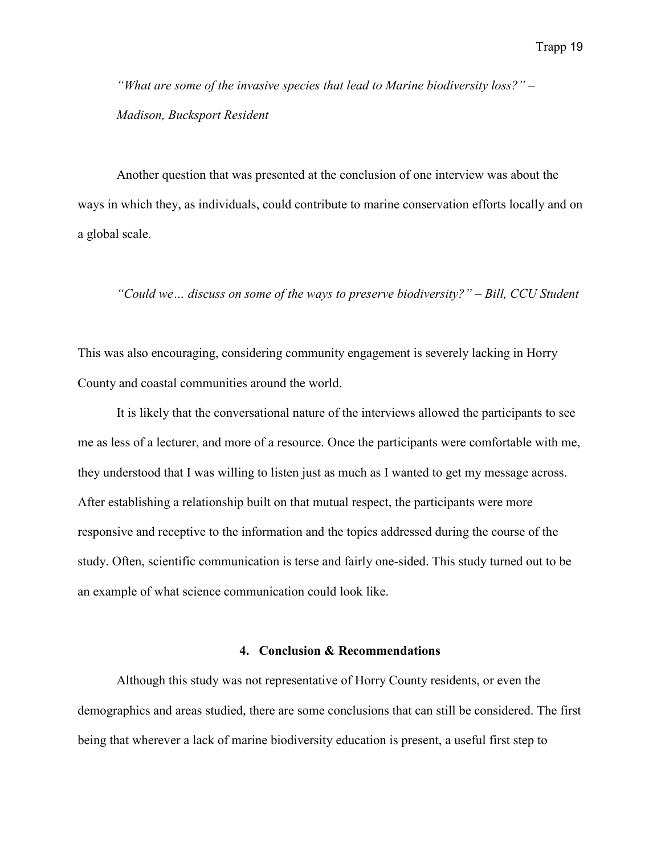*"What are some of the invasive species that lead to Marine biodiversity loss?" – Madison, Bucksport Resident*

Another question that was presented at the conclusion of one interview was about the ways in which they, as individuals, could contribute to marine conservation efforts locally and on a global scale.

*"Could we… discuss on some of the ways to preserve biodiversity?" – Bill, CCU Student*

This was also encouraging, considering community engagement is severely lacking in Horry County and coastal communities around the world.

It is likely that the conversational nature of the interviews allowed the participants to see me as less of a lecturer, and more of a resource. Once the participants were comfortable with me, they understood that I was willing to listen just as much as I wanted to get my message across. After establishing a relationship built on that mutual respect, the participants were more responsive and receptive to the information and the topics addressed during the course of the study. Often, scientific communication is terse and fairly one-sided. This study turned out to be an example of what science communication could look like.

#### **4. Conclusion & Recommendations**

Although this study was not representative of Horry County residents, or even the demographics and areas studied, there are some conclusions that can still be considered. The first being that wherever a lack of marine biodiversity education is present, a useful first step to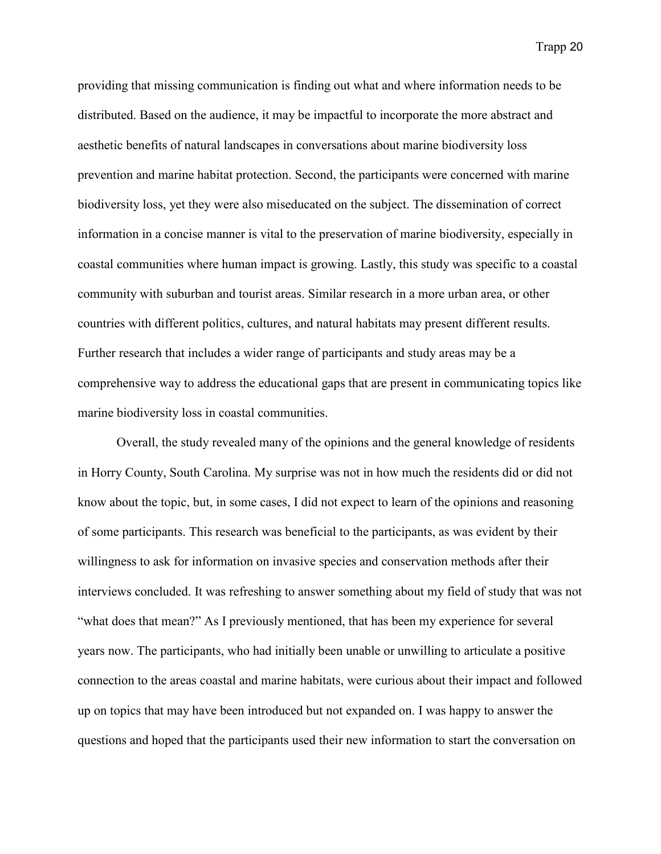providing that missing communication is finding out what and where information needs to be distributed. Based on the audience, it may be impactful to incorporate the more abstract and aesthetic benefits of natural landscapes in conversations about marine biodiversity loss prevention and marine habitat protection. Second, the participants were concerned with marine biodiversity loss, yet they were also miseducated on the subject. The dissemination of correct information in a concise manner is vital to the preservation of marine biodiversity, especially in coastal communities where human impact is growing. Lastly, this study was specific to a coastal community with suburban and tourist areas. Similar research in a more urban area, or other countries with different politics, cultures, and natural habitats may present different results. Further research that includes a wider range of participants and study areas may be a comprehensive way to address the educational gaps that are present in communicating topics like marine biodiversity loss in coastal communities.

Overall, the study revealed many of the opinions and the general knowledge of residents in Horry County, South Carolina. My surprise was not in how much the residents did or did not know about the topic, but, in some cases, I did not expect to learn of the opinions and reasoning of some participants. This research was beneficial to the participants, as was evident by their willingness to ask for information on invasive species and conservation methods after their interviews concluded. It was refreshing to answer something about my field of study that was not "what does that mean?" As I previously mentioned, that has been my experience for several years now. The participants, who had initially been unable or unwilling to articulate a positive connection to the areas coastal and marine habitats, were curious about their impact and followed up on topics that may have been introduced but not expanded on. I was happy to answer the questions and hoped that the participants used their new information to start the conversation on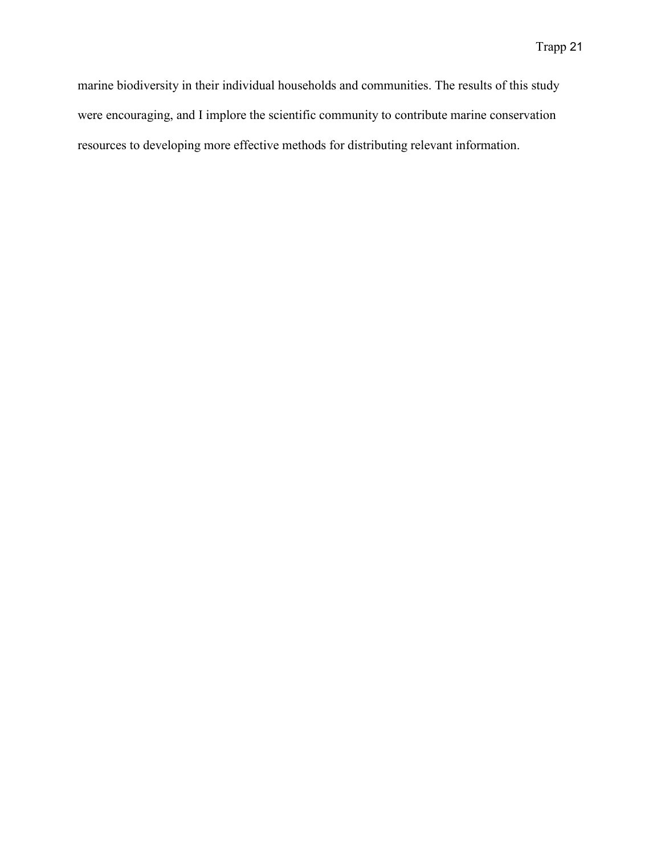marine biodiversity in their individual households and communities. The results of this study were encouraging, and I implore the scientific community to contribute marine conservation resources to developing more effective methods for distributing relevant information.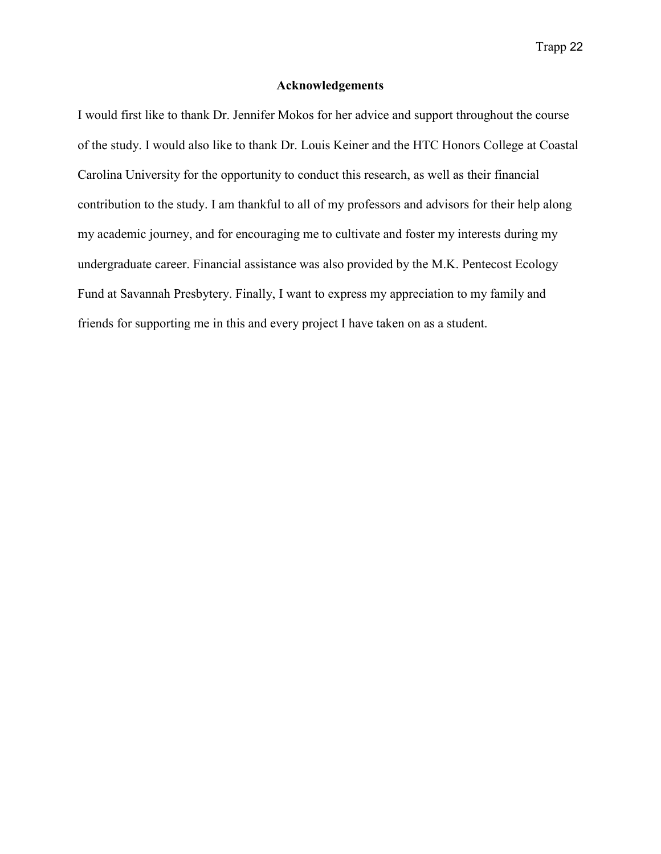#### **Acknowledgements**

I would first like to thank Dr. Jennifer Mokos for her advice and support throughout the course of the study. I would also like to thank Dr. Louis Keiner and the HTC Honors College at Coastal Carolina University for the opportunity to conduct this research, as well as their financial contribution to the study. I am thankful to all of my professors and advisors for their help along my academic journey, and for encouraging me to cultivate and foster my interests during my undergraduate career. Financial assistance was also provided by the M.K. Pentecost Ecology Fund at Savannah Presbytery. Finally, I want to express my appreciation to my family and friends for supporting me in this and every project I have taken on as a student.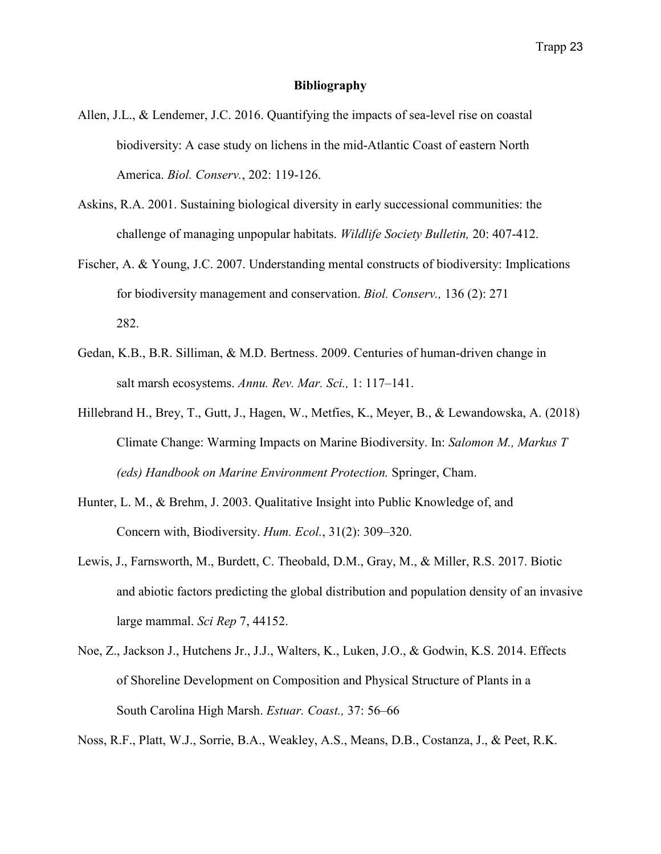## **Bibliography**

- Allen, J.L., & Lendemer, J.C. 2016. Quantifying the impacts of sea-level rise on coastal biodiversity: A case study on lichens in the mid-Atlantic Coast of eastern North America. *Biol. Conserv.*, 202: 119-126.
- Askins, R.A. 2001. Sustaining biological diversity in early successional communities: the challenge of managing unpopular habitats. *Wildlife Society Bulletin,* 20: 407-412.
- Fischer, A. & Young, J.C. 2007. Understanding mental constructs of biodiversity: Implications for biodiversity management and conservation. *Biol. Conserv.,* 136 (2): 271 282.
- Gedan, K.B., B.R. Silliman, & M.D. Bertness. 2009. Centuries of human-driven change in salt marsh ecosystems. *Annu. Rev. Mar. Sci.,* 1: 117–141.
- Hillebrand H., Brey, T., Gutt, J., Hagen, W., Metfies, K., Meyer, B., & Lewandowska, A. (2018) Climate Change: Warming Impacts on Marine Biodiversity. In: *Salomon M., Markus T (eds) Handbook on Marine Environment Protection.* Springer, Cham.
- Hunter, L. M., & Brehm, J. 2003. Qualitative Insight into Public Knowledge of, and Concern with, Biodiversity. *Hum. Ecol.*, 31(2): 309–320.
- Lewis, J., Farnsworth, M., Burdett, C. Theobald, D.M., Gray, M., & Miller, R.S. 2017. Biotic and abiotic factors predicting the global distribution and population density of an invasive large mammal. *Sci Rep* 7, 44152.
- Noe, Z., Jackson J., Hutchens Jr., J.J., Walters, K., Luken, J.O., & Godwin, K.S. 2014. Effects of Shoreline Development on Composition and Physical Structure of Plants in a South Carolina High Marsh. *Estuar. Coast.,* 37: 56–66

Noss, R.F., Platt, W.J., Sorrie, B.A., Weakley, A.S., Means, D.B., Costanza, J., & Peet, R.K.